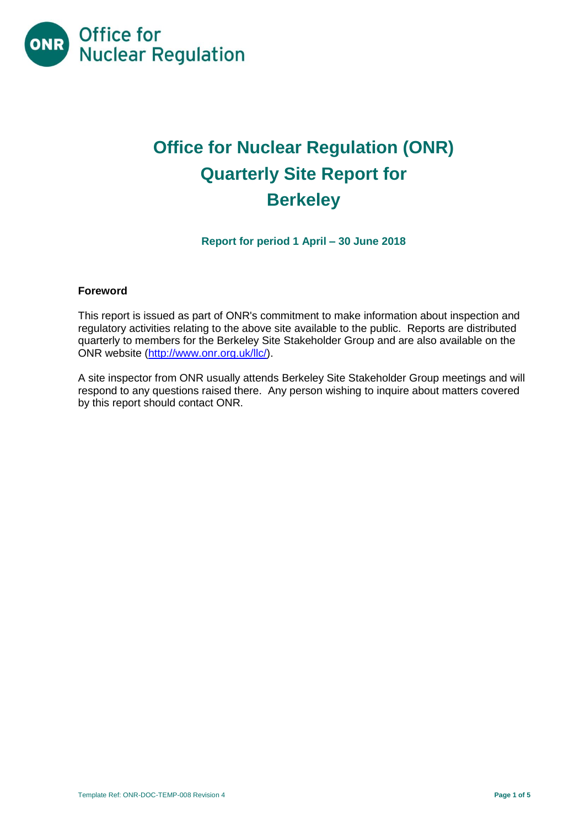

# **Office for Nuclear Regulation (ONR) Quarterly Site Report for Berkeley**

**Report for period 1 April – 30 June 2018**

#### **Foreword**

This report is issued as part of ONR's commitment to make information about inspection and regulatory activities relating to the above site available to the public. Reports are distributed quarterly to members for the Berkeley Site Stakeholder Group and are also available on the ONR website [\(http://www.onr.org.uk/llc/\)](http://www.onr.org.uk/llc/).

A site inspector from ONR usually attends Berkeley Site Stakeholder Group meetings and will respond to any questions raised there. Any person wishing to inquire about matters covered by this report should contact ONR.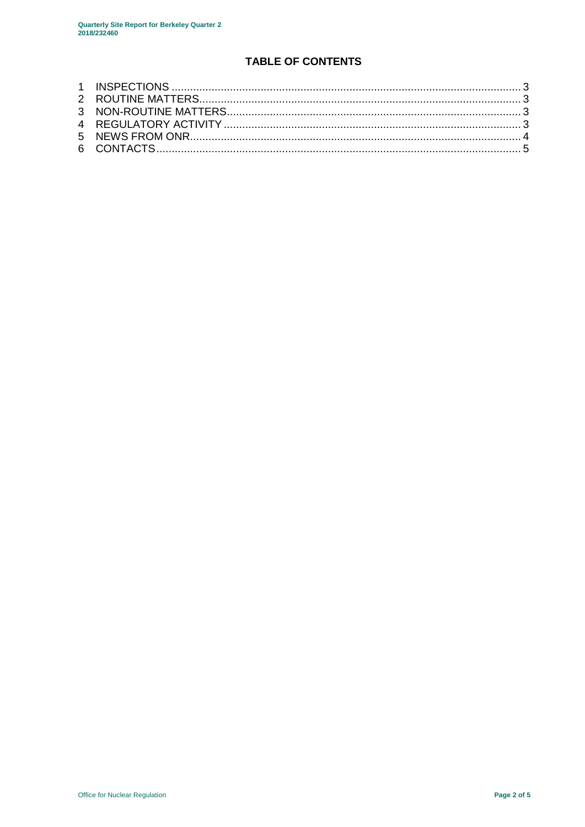## **TABLE OF CONTENTS**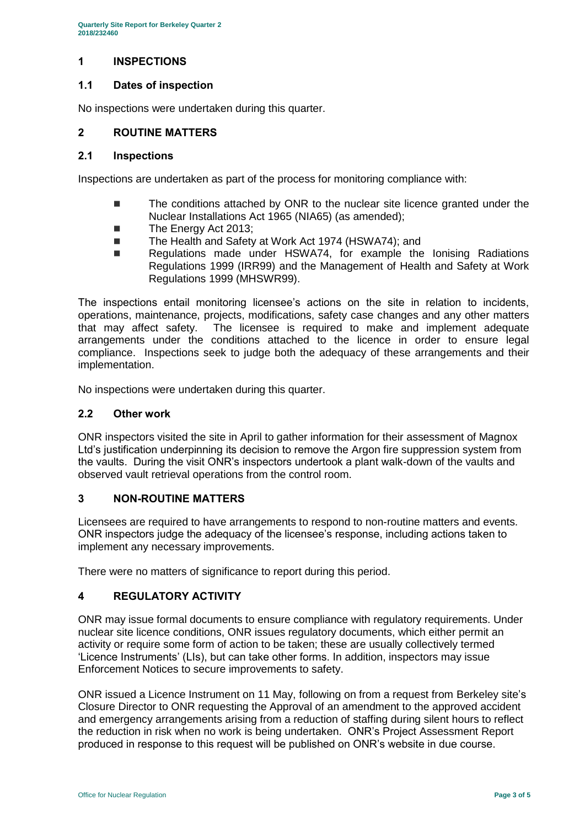#### <span id="page-2-0"></span>**1 INSPECTIONS**

#### **1.1 Dates of inspection**

No inspections were undertaken during this quarter.

#### <span id="page-2-1"></span>**2 ROUTINE MATTERS**

#### **2.1 Inspections**

Inspections are undertaken as part of the process for monitoring compliance with:

- The conditions attached by ONR to the nuclear site licence granted under the Nuclear Installations Act 1965 (NIA65) (as amended);
- The Energy Act 2013;
- The Health and Safety at Work Act 1974 (HSWA74); and
- Regulations made under HSWA74, for example the Ionising Radiations Regulations 1999 (IRR99) and the Management of Health and Safety at Work Regulations 1999 (MHSWR99).

The inspections entail monitoring licensee's actions on the site in relation to incidents, operations, maintenance, projects, modifications, safety case changes and any other matters that may affect safety. The licensee is required to make and implement adequate arrangements under the conditions attached to the licence in order to ensure legal compliance. Inspections seek to judge both the adequacy of these arrangements and their implementation.

No inspections were undertaken during this quarter.

#### **2.2 Other work**

ONR inspectors visited the site in April to gather information for their assessment of Magnox Ltd's justification underpinning its decision to remove the Argon fire suppression system from the vaults. During the visit ONR's inspectors undertook a plant walk-down of the vaults and observed vault retrieval operations from the control room.

#### <span id="page-2-2"></span>**3 NON-ROUTINE MATTERS**

Licensees are required to have arrangements to respond to non-routine matters and events. ONR inspectors judge the adequacy of the licensee's response, including actions taken to implement any necessary improvements.

There were no matters of significance to report during this period.

#### <span id="page-2-3"></span>**4 REGULATORY ACTIVITY**

ONR may issue formal documents to ensure compliance with regulatory requirements. Under nuclear site licence conditions, ONR issues regulatory documents, which either permit an activity or require some form of action to be taken; these are usually collectively termed 'Licence Instruments' (LIs), but can take other forms. In addition, inspectors may issue Enforcement Notices to secure improvements to safety.

ONR issued a Licence Instrument on 11 May, following on from a request from Berkeley site's Closure Director to ONR requesting the Approval of an amendment to the approved accident and emergency arrangements arising from a reduction of staffing during silent hours to reflect the reduction in risk when no work is being undertaken. ONR's Project Assessment Report produced in response to this request will be published on ONR's website in due course.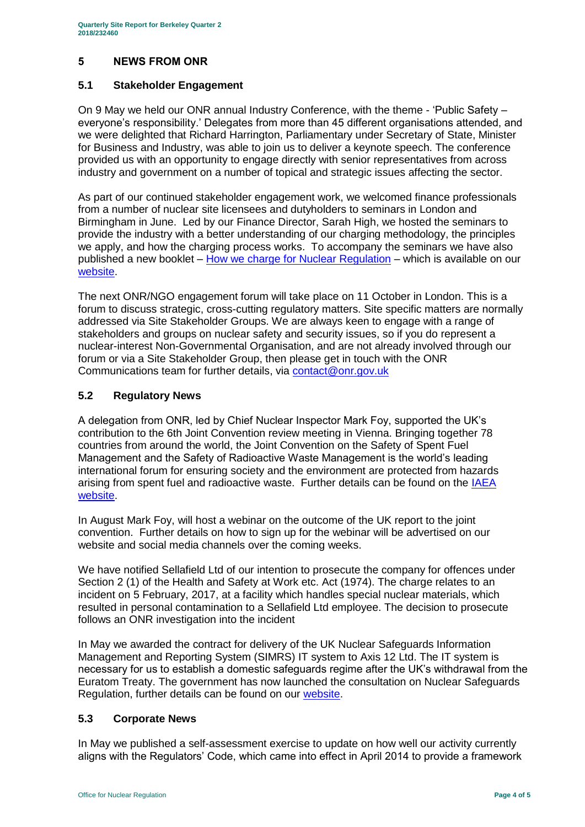## <span id="page-3-0"></span>**5 NEWS FROM ONR**

## **5.1 Stakeholder Engagement**

On 9 May we held our ONR annual Industry Conference, with the theme - 'Public Safety – everyone's responsibility.' Delegates from more than 45 different organisations attended, and we were delighted that Richard Harrington, Parliamentary under Secretary of State, Minister for Business and Industry, was able to join us to deliver a keynote speech. The conference provided us with an opportunity to engage directly with senior representatives from across industry and government on a number of topical and strategic issues affecting the sector.

As part of our continued stakeholder engagement work, we welcomed finance professionals from a number of nuclear site licensees and dutyholders to seminars in London and Birmingham in June. Led by our Finance Director, Sarah High, we hosted the seminars to provide the industry with a better understanding of our charging methodology, the principles we apply, and how the charging process works. To accompany the seminars we have also published a new booklet – [How we charge for Nuclear Regulation](http://www.onr.org.uk/documents/2018/how-we-charge-for-nuclear-regulation.pdf) – which is available on our [website.](http://www.onr.org.uk/documents/2018/how-we-charge-for-nuclear-regulation.pdf)

The next ONR/NGO engagement forum will take place on 11 October in London. This is a forum to discuss strategic, cross-cutting regulatory matters. Site specific matters are normally addressed via Site Stakeholder Groups. We are always keen to engage with a range of stakeholders and groups on nuclear safety and security issues, so if you do represent a nuclear-interest Non-Governmental Organisation, and are not already involved through our forum or via a Site Stakeholder Group, then please get in touch with the ONR Communications team for further details, via [contact@onr.gov.uk](mailto:contact@onr.gov.uk)

## **5.2 Regulatory News**

A delegation from ONR, led by Chief Nuclear Inspector Mark Foy, supported the UK's contribution to the 6th Joint Convention review meeting in Vienna. Bringing together 78 countries from around the world, the Joint Convention on the Safety of Spent Fuel Management and the Safety of Radioactive Waste Management is the world's leading international forum for ensuring society and the environment are protected from hazards arising from spent fuel and radioactive waste. Further details can be found on the IAEA [website.](https://www.iaea.org/events/sixth-review-meeting-of-the-contracting-parties-to-the-joint-convention-on-the-safety-of-spent-fuel-management-and-on-the-safety-of-radioactive-waste-management-joint-convention)

In August Mark Foy, will host a webinar on the outcome of the UK report to the joint convention. Further details on how to sign up for the webinar will be advertised on our website and social media channels over the coming weeks.

We have notified Sellafield Ltd of our intention to prosecute the company for offences under Section 2 (1) of the Health and Safety at Work etc. Act (1974). The charge relates to an incident on 5 February, 2017, at a facility which handles special nuclear materials, which resulted in personal contamination to a Sellafield Ltd employee. The decision to prosecute follows an ONR investigation into the incident

In May we awarded the contract for delivery of the UK Nuclear Safeguards Information Management and Reporting System (SIMRS) IT system to Axis 12 Ltd. The IT system is necessary for us to establish a domestic safeguards regime after the UK's withdrawal from the Euratom Treaty. The government has now launched the consultation on Nuclear Safeguards Regulation, further details can be found on our [website.](http://news.onr.org.uk/2018/07/government-consults-on-nuclear-safeguards-regulations/)

## **5.3 Corporate News**

In May we published a self-assessment exercise to update on how well our activity currently aligns with the Regulators' Code, which came into effect in April 2014 to provide a framework